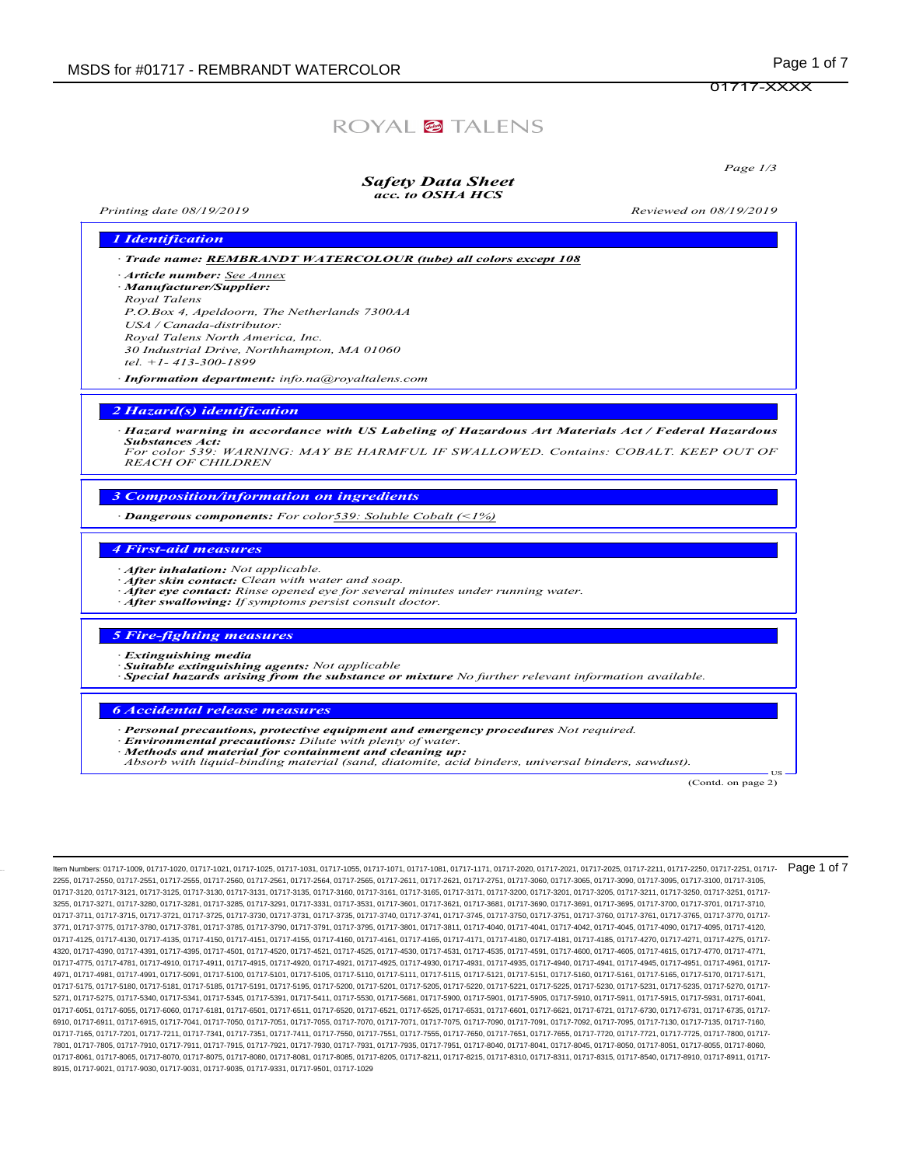## ROYAL<sup>@</sup>TALENS

Page 1/3

## Safety Data Sheet

### acc. to OSHA HCS

Printing date 08/19/2019 Reviewed on 08/19/2019

| 1 Identification                                                                                                                                                                                                                                                                                                                                           |
|------------------------------------------------------------------------------------------------------------------------------------------------------------------------------------------------------------------------------------------------------------------------------------------------------------------------------------------------------------|
| · Trade name: REMBRANDT WATERCOLOUR (tube) all colors except 108                                                                                                                                                                                                                                                                                           |
| Article number: See Annex<br>· Manufacturer/Supplier:<br>Royal Talens<br>P.O.Box 4, Apeldoorn, The Netherlands 7300AA<br>USA / Canada-distributor:<br>Royal Talens North America, Inc.<br>30 Industrial Drive, Northhampton, MA 01060<br>tel. $+1 - 413 - 300 - 1899$<br>· Information department: info.na@royaltalens.com                                 |
| 2 Hazard(s) identification                                                                                                                                                                                                                                                                                                                                 |
| · Hazard warning in accordance with US Labeling of Hazardous Art Materials Act / Federal Hazardous<br><b>Substances Act:</b><br>For color 539: WARNING: MAY BE HARMFUL IF SWALLOWED. Contains: COBALT. KEEP OUT OF<br><b>REACH OF CHILDREN</b>                                                                                                             |
| <b>3 Composition/information on ingredients</b><br>$\cdot$ <b>Dangerous components:</b> For color539: Soluble Cobalt (<1%)                                                                                                                                                                                                                                 |
| <b>4 First-aid measures</b><br>· After inhalation: Not applicable.<br>After skin contact: Clean with water and soap.<br>After eye contact: Rinse opened eye for several minutes under running water.<br>After swallowing: If symptoms persist consult doctor.                                                                                              |
| <b>5 Fire-fighting measures</b><br>· Extinguishing media<br>· Suitable extinguishing agents: Not applicable<br>$\cdot$ Special hazards arising from the substance or mixture No further relevant information available.                                                                                                                                    |
| <b>6 Accidental release measures</b><br>· Personal precautions, protective equipment and emergency procedures Not required.<br><b>Environmental precautions:</b> Dilute with plenty of water.<br>Methods and material for containment and cleaning up:<br>Absorb with liquid-binding material (sand, diatomite, acid binders, universal binders, sawdust). |

US<br>(Contd. on page 2)

ltem Numbers: 01717-1009, 01717-1020, 01717-1021, 01717-1025, 01717-1031, 01717-1055, 01717-1071, 01717-1081, 01717-1081, 01717-1081, 01717-1081, 01717-1081, 01717-1081, 01717-1081, 01717-1081, 01717-1081, 01717-2020, 0171 2255, 01717-2550, 01717-2551, 01717-2555, 01717-2560, 01717-2561, 01717-2564, 01717-2565, 01717-2611, 01717-2621, 01717-2751, 01717-3060, 01717-3065, 01717-3090, 01717-3095, 01717-3100, 01717-3105, 01717-3120, 01717-3121, 01717-3125, 01717-3130, 01717-3131, 01717-3135, 01717-3160, 01717-3161, 01717-3165, 01717-3171, 01717-3200, 01717-3200, 01717-3205, 01717-3211, 01717-3250, 01717-3250, 01717-3250, 01717-3250, 01717-3 3255, 01717-3271, 01717-3280, 01717-3281, 01717-3285, 01717-3291, 01717-3331, 01717-3531, 01717-3601, 01717-3621, 01717-3681, 01717-3690, 01717-3691, 01717-3695, 01717-3700, 01717-3701, 01717-3710, 01717-3711, 01717-3715, 01717-3721, 01717-3725, 01717-3730, 01717-3731, 01717-3735, 01717-3740, 01717-3741, 01717-3745, 01717-3750, 01717-3751, 01717-3760, 01717-3760, 01717-3765, 01717-3760, 01717-3760, 01717-3760, 01717-3 3771, 01717-3775, 01717-3780, 01717-3781, 01717-3785, 01717-3790, 01717-3791, 01717-3795, 01717-3801, 01717-3811, 01717-4040, 01717-4041, 01717-4042, 01717-4045, 01717-4090, 01717-4095, 01717-4120, 01717-4125, 01717-4130, 01717-4135, 01717-4150, 01717-4151, 01717-4155, 01717-4160, 01717-4161, 01717-417, 01717-4156, 01717-4181, 01717-4185, 01717-4185, 01717-4270, 01717-4271, 01717-4271, 01717-4185, 01717-4185, 01717-41 4320, 01717-4390, 01717-4391, 01717-4395, 01717-4501, 01717-4520, 01717-4521, 01717-4525, 01717-4530, 01717-4531, 01717-4535, 01717-4591, 01717-4600, 01717-4605, 01717-4615, 01717-4770, 01717-4771, 01717-4775, 01717-4781, 01717-4910, 01717-4911, 01717-4915, 01717-4920, 01717-4921, 01717-4925, 01717-4930, 01717-4931, 01717-4935, 01717-4940, 01717-4941, 01717-4945, 01717-4951, 01717-4961, 01717- 4971, 01717-4981, 01717-4991, 01717-5091, 01717-5100, 01717-5101, 01717-5105, 01717-5110, 01717-5110, 01717-511, 01717-5110, 01717-5121, 01717-5166, 01717-5165, 01717-5170, 01717-5171, 01717-5175, 01717-5180, 01717-5181, 01717-5185, 01717-5191, 01717-5195, 01717-5200, 01717-5201, 01717-5205, 01717-5221, 01717-5221, 01717-5230, 01717-5231, 01717-5235, 01717-5225, 01717-5225, 01717-5225, 01717-5225, 01717-5 5271, 01717-5275, 01717-5340, 01717-5341, 01717-5345, 01717-5391, 01717-5411, 01717-5530, 01717-5681, 01717-5900, 01717-5901, 01717-5905, 01717-5910, 01717-5911, 01717-5915, 01717-5931, 01717-6041, 01717-6051, 01717-6055, 01717-6060, 01717-6181, 01717-6501, 01717-6511, 01717-6520, 01717-6521, 01717-6531, 01717-6531, 01717-6721, 01717-6721, 01717-6730, 01717-6731, 01717-6731, 01717-6731, 01717-6731, 01717-6731, 01717-6 6910, 01717-6911, 01717-6915, 01717-7041, 01717-7050, 01717-7051, 01717-7055, 01717-7070, 01717-7071, 01717-7075, 01717-7090, 01717-7091, 01717-7092, 01717-7095, 01717-7130, 01717-7135, 01717-7090, 01717-7135, 01717-7135, 0 01717-7165, 01717-7201, 01717-7211, 01717-7341, 01717-7351, 01717-7411, 01717-7550, 01717-7551, 01717-7555, 01717-7655, 01717-7655, 01717-7655, 01717-7720, 01717-7721, 01717-7721, 01717-7785, 01717-7721, 01717-725, 01717-78 7801, 01717-7805, 01717-7910, 01717-7911, 01717-7915, 01717-7921, 01717-7930, 01717-7931, 01717-7935, 01717-7951, 01717-8040, 01717-8041, 01717-8045, 01717-8050, 01717-8051, 01717-8055, 01717-8060, 01717-8061, 01717-8065, 01717-8070, 01717-8075, 01717-8080, 01717-8081, 01717-8085, 01717-8205, 01717-8211, 01717-8215, 01717-8310, 01717-8311, 01717-8315, 01717-8310, 01717-8310, 01717-8315, 01717-8840, 01717-8910, 01717-8 8915, 01717-9021, 01717-9030, 01717-9031, 01717-9035, 01717-9331, 01717-9501, 01717-1029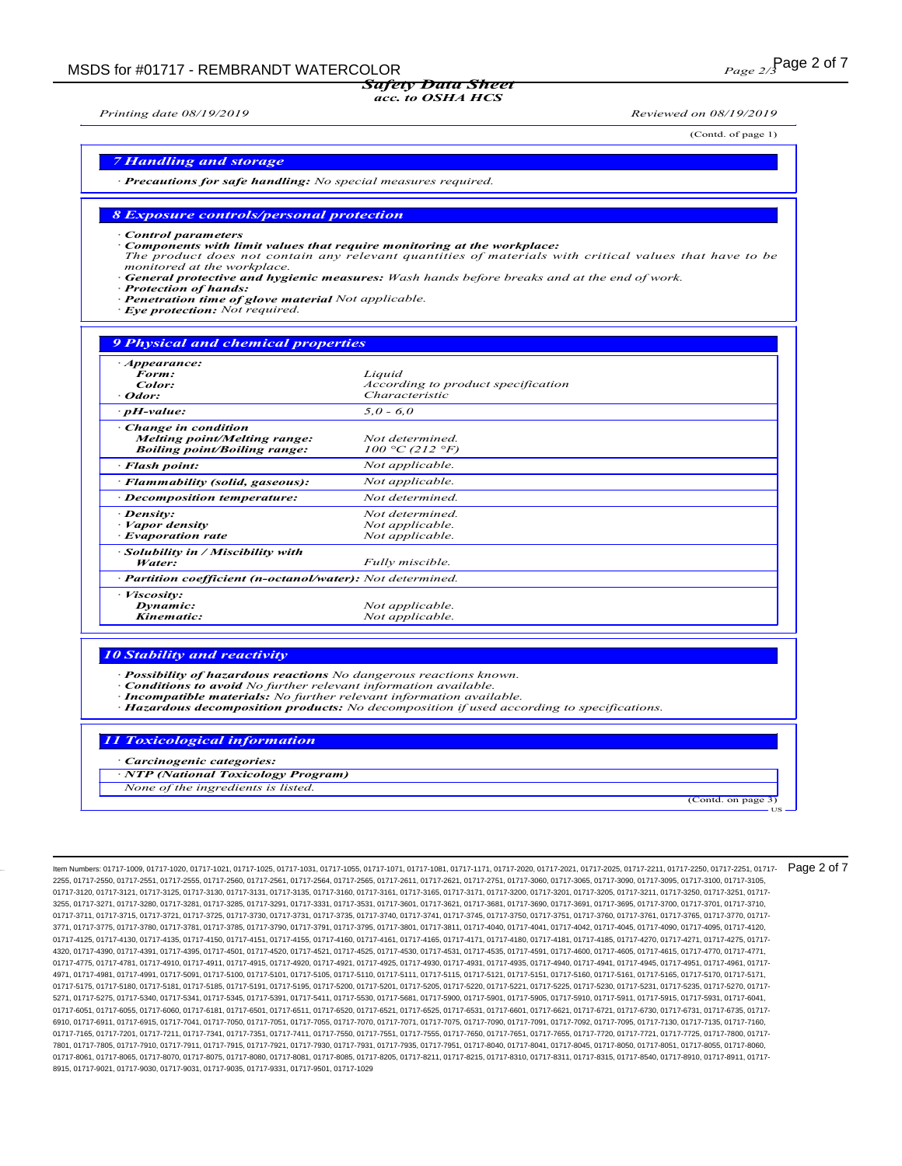### Safety Data Sheet

### acc. to OSHA HCS

Printing date 08/19/2019 Reviewed on 08/19/2019

(Contd. of page 1)

(Contd. on page

US

#### 7 Handling and storage

· Precautions for safe handling: No special measures required.

#### 8 Exposure controls/personal protection

Control parameters

- · Components with limit values that require monitoring at the workplace:
- The product does not contain any relevant quantities of materials with critical values that have to be monitored at the workplace.
- General protective and hygienic measures: Wash hands before breaks and at the end of work. **Protection of hands:**
- Penetration time of glove material Not applicable.
- Eye protection: Not required.

| <b>9 Physical and chemical properties</b>                                                         |                                                                |  |
|---------------------------------------------------------------------------------------------------|----------------------------------------------------------------|--|
| · Appearance:<br>Form:<br>Color:<br>· Odor:                                                       | Liquid<br>According to product specification<br>Characteristic |  |
| $\cdot$ pH-value:                                                                                 | $5,0 - 6,0$                                                    |  |
| Change in condition<br><b>Melting point/Melting range:</b><br><b>Boiling point/Boiling range:</b> | Not determined.<br>$100 °C$ (212 °F)                           |  |
| · Flash point:                                                                                    | Not applicable.                                                |  |
| · Flammability (solid, gaseous):                                                                  | Not applicable.                                                |  |
| · Decomposition temperature:                                                                      | Not determined.                                                |  |
| · Density:<br>Vapor density<br>· Evaporation rate                                                 | Not determined.<br>Not applicable.<br>Not applicable.          |  |
| Solubility in / Miscibility with<br>Water:                                                        | Fully miscible.                                                |  |
| · Partition coefficient (n-octanol/water): Not determined.                                        |                                                                |  |
| Viscosity:<br>Dynamic:<br>Kinematic:                                                              | Not applicable.<br>Not applicable.                             |  |

#### 10 Stability and reactivity

Possibility of hazardous reactions No dangerous reactions known.

- Conditions to avoid No further relevant information available.
- · Incompatible materials: No further relevant information available.
- · Hazardous decomposition products: No decomposition if used according to specifications.

#### 11 Toxicological information

Carcinogenic categories:

· NTP (National Toxicology Program)

None of the ingredients is listed.

Item Numbers: 01717-1009, 01717-1020, 01717-1021, 01717-1025, 01717-1031, 01717-1055, 01717-1071, 01717-1081, 01717-1171, 01717-2020, 01717-2021, 01717-2025, 01717-2211, 01717-2250, 01717-2251, 01717- 2255, 01717-2550, 01717-2551, 01717-2555, 01717-2560, 01717-2561, 01717-2564, 01717-2565, 01717-2611, 01717-2621, 01717-2751, 01717-3060, 01717-3065, 01717-3090, 01717-3095, 01717-3100, 01717-3105, 01717-3120, 01717-3121, 01717-3125, 01717-3130, 01717-3131, 01717-3135, 01717-3160, 01717-3161, 01717-3165, 01717-3171, 01717-3200, 01717-3200, 01717-3205, 01717-3211, 01717-3250, 01717-3250, 01717-3250, 01717-3250, 01717-3 3255, 01717-3271, 01717-3280, 01717-3281, 01717-3285, 01717-3291, 01717-3331, 01717-3531, 01717-3601, 01717-3621, 01717-3681, 01717-3690, 01717-3691, 01717-3695, 01717-3700, 01717-3701, 01717-3710, 01717-3711, 01717-3715, 01717-3721, 01717-3725, 01717-3730, 01717-3731, 01717-3735, 01717-3740, 01717-3741, 01717-3745, 01717-3750, 01717-3751, 01717-3760, 01717-3760, 01717-3765, 01717-3760, 01717-3760, 01717-3760, 01717-3 3771, 01717-3775, 01717-3780, 01717-3781, 01717-3785, 01717-3790, 01717-3791, 01717-3795, 01717-3801, 01717-3811, 01717-4040, 01717-4041, 01717-4042, 01717-4045, 01717-4090, 01717-4095, 01717-4120, 01717-4125, 01717-4130, 01717-4135, 01717-4150, 01717-4151, 01717-4155, 01717-4160, 01717-4161, 01717-417, 01717-4156, 01717-4181, 01717-4185, 01717-4185, 01717-4270, 01717-4271, 01717-4271, 01717-4185, 01717-4185, 01717-41 4320, 01717-4390, 01717-4391, 01717-4395, 01717-4501, 01717-4520, 01717-4521, 01717-4525, 01717-4530, 01717-4531, 01717-4535, 01717-4591, 01717-4600, 01717-4605, 01717-4615, 01717-4770, 01717-4771, 01717-4775, 01717-4781, 01717-4910, 01717-4911, 01717-4915, 01717-4920, 01717-4921, 01717-4925, 01717-4930, 01717-4931, 01717-4935, 01717-4940, 01717-4941, 01717-4945, 01717-4951, 01717-4961, 01717- 4971, 01717-4981, 01717-4991, 01717-5091, 01717-5100, 01717-5101, 01717-5105, 01717-5110, 01717-5110, 01717-511, 01717-5110, 01717-5121, 01717-5166, 01717-5165, 01717-5170, 01717-5171, 01717-5175, 01717-5180, 01717-5181, 01717-5185, 01717-5191, 01717-5195, 01717-5200, 01717-5201, 01717-5205, 01717-5221, 01717-5221, 01717-5230, 01717-5231, 01717-5235, 01717-5225, 01717-5225, 01717-5225, 01717-5225, 01717-5 5271, 01717-5275, 01717-5340, 01717-5341, 01717-5345, 01717-5391, 01717-5411, 01717-5530, 01717-5681, 01717-5900, 01717-5901, 01717-5905, 01717-5910, 01717-5911, 01717-5915, 01717-5931, 01717-6041, 01717-6051, 01717-6055, 01717-6060, 01717-6181, 01717-6501, 01717-6511, 01717-6520, 01717-6521, 01717-6531, 01717-6531, 01717-6721, 01717-6721, 01717-6730, 01717-6731, 01717-6731, 01717-6731, 01717-6731, 01717-6731, 01717-6 6910, 01717-6911, 01717-6915, 01717-7041, 01717-7050, 01717-7051, 01717-7055, 01717-7070, 01717-7071, 01717-7075, 01717-7080, 01717-7091, 01717-7092, 01717-7095, 01717-7130, 01717-7135, 01717-7160, 01717-7165, 01717-7201, 01717-7211, 01717-7341, 01717-7551, 01717-7551, 01717-7551, 01717-7555, 01717-7555, 01717-7655, 01717-7655, 01717-7655, 01717-7720, 01717-7690, 01717-7800, 01717-780, 01717-721, 01717-7800, 01717-780 7801, 01717-7805, 01717-7910, 01717-7911, 01717-7915, 01717-7921, 01717-7930, 01717-7931, 01717-7935, 01717-7951, 01717-8040, 01717-8041, 01717-8045, 01717-8050, 01717-8051, 01717-8055, 01717-8060, 01717-8061, 01717-8065, 01717-8070, 01717-8075, 01717-8080, 01717-8081, 01717-8085, 01717-8205, 01717-8211, 01717-8215, 01717-8310, 01717-8310, 01717-8311, 01717-8211, 01717-8211, 01717-8211, 01717-8910, 01717-8910, 01717-8 8915, 01717-9021, 01717-9030, 01717-9031, 01717-9035, 01717-9331, 01717-9501, 01717-1029 Page 2 of 7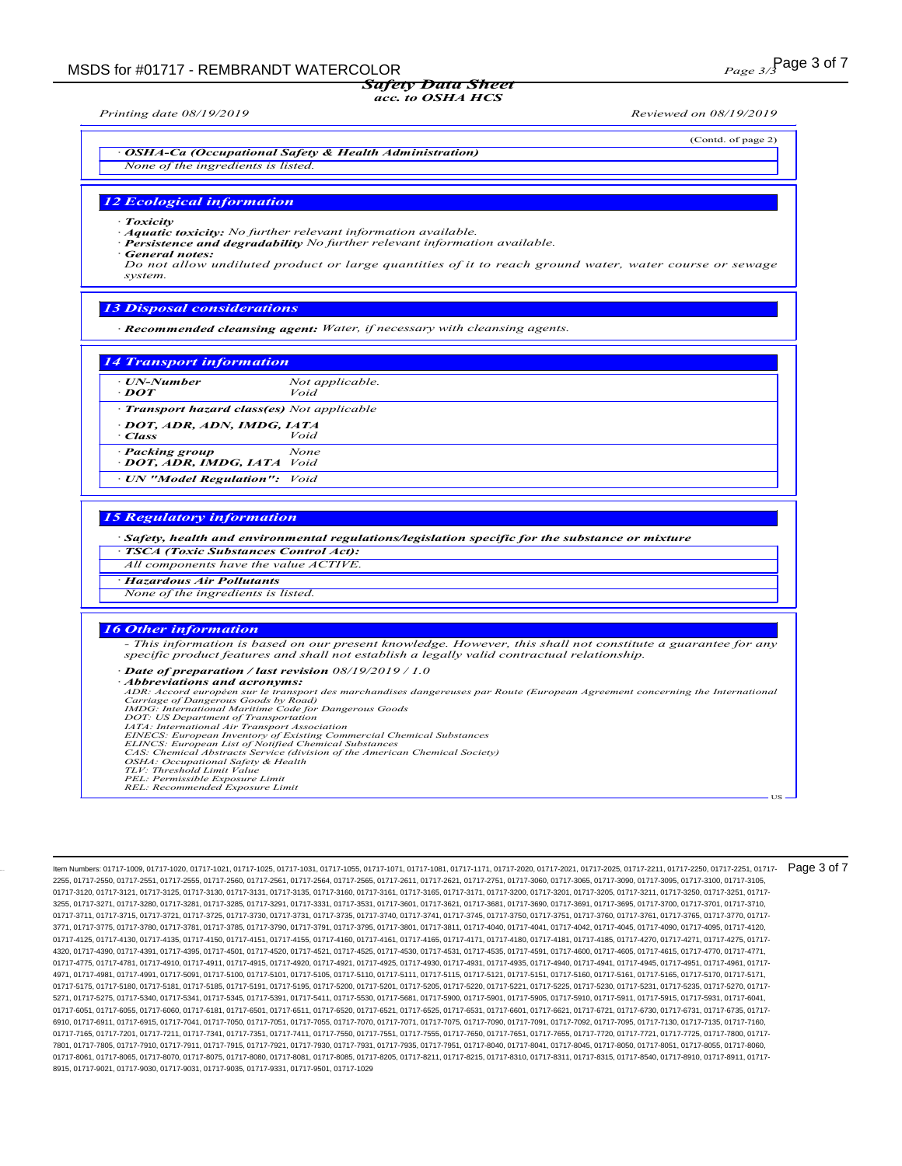#### acc. to OSHA HCS

(Contd. of page 2)

· OSHA-Ca (Occupational Safety & Health Administration) None of the ingredients is listed.

#### 12 Ecological information

**Toxicity** 

- Aquatic toxicity: No further relevant information available.
- Persistence and degradability No further relevant information available.

· General notes:

Do not allow undiluted product or large quantities of it to reach ground water, water course or sewage system.

#### 13 Disposal considerations

· Recommended cleansing agent: Water, if necessary with cleansing agents.

#### 14 Transport information

| · UN-Number<br>$\cdot$ DOT                          | Not applicable.<br>Void |
|-----------------------------------------------------|-------------------------|
| • Transport hazard class(es) Not applicable         |                         |
| DOT, ADR, ADN, IMDG, IATA<br>- Class                | Void                    |
| · Packing group<br><b>DOT, ADR, IMDG, IATA</b> Void | None                    |
| • UN "Model Regulation": Void                       |                         |

#### 15 Regulatory information

- · Safety, health and environmental regulations/legislation specific for the substance or mixture
- · TSCA (Toxic Substances Control Act):
- All components have the value ACTIVE.
- · Hazardous Air Pollutants None of the ingredients is listed.

### 16 Other information

- This information is based on our present knowledge. However, this shall not constitute a guarantee for any specific product features and shall not establish a legally valid contractual relationship.

Date of preparation / last revision 08/19/2019 / 1.0

· Abbreviations and acronyms:

ADR: Accord européen sur le transport des marchandises dangereuses par Route (European Agreement concerning the International<br>Carriage of Dangerous Goods by Road)<br>IMDG: International Maritime Code for Dangerous Goods<br>IMDG:

- *ELINCS: European List of Notified Chemical Substances*<br>*ELINCS: European List of Notified Chemical Substances*<br>*CAS: Chemical Abstracts Service (division of the American Chemical Society)*<br>*OSHA: Occupational Safety & Hea*
- 
- 
- 

Item Numbers: 01717-1009, 01717-1020, 01717-1021, 01717-1025, 01717-1031, 01717-1055, 01717-1071, 01717-1081, 01717-1171, 01717-2020, 01717-2021, 01717-2025, 01717-2211, 01717-2250, 01717-2251, 01717- 2255, 01717-2550, 01717-2551, 01717-2555, 01717-2560, 01717-2561, 01717-2564, 01717-2565, 01717-2611, 01717-2621, 01717-2751, 01717-3060, 01717-3065, 01717-3090, 01717-3095, 01717-3100, 01717-3105, 01717-3120, 01717-3121, 01717-3125, 01717-3130, 01717-3131, 01717-3135, 01717-3160, 01717-3161, 01717-3165, 01717-3171, 01717-3200, 01717-3200, 01717-3205, 01717-3211, 01717-3250, 01717-3225, 01717-3250, 01717-3250, 01717-3 3255, 01717-3271, 01717-3280, 01717-3281, 01717-3285, 01717-3291, 01717-3331, 01717-3531, 01717-3601, 01717-3621, 01717-3681, 01717-3690, 01717-3691, 01717-3695, 01717-3700, 01717-3701, 01717-3710, 01717-3711, 01717-3715, 01717-3721, 01717-3725, 01717-3730, 01717-3731, 01717-3735, 01717-3740, 01717-3741, 01717-3745, 01717-3750, 01717-3751, 01717-3760, 01717-3761, 01717-3765, 01717-3770, 01717-3761, 01717-3760, 01717-3 3771, 01717-3775, 01717-3780, 01717-3781, 01717-3785, 01717-3790, 01717-3791, 01717-3795, 01717-3801, 01717-3811, 01717-4040, 01717-4041, 01717-4042, 01717-4045, 01717-4090, 01717-4095, 01717-4120, 01717-4125, 01717-4130, 01717-4135, 01717-4150, 01717-4151, 01717-4155, 01717-4160, 01717-4161, 01717-417, 01717-4156, 01717-4181, 01717-4185, 01717-4185, 01717-4270, 01717-4271, 01717-4271, 01717-4185, 01717-4185, 01717-41 4320, 01717-4390, 01717-4391, 01717-4395, 01717-4501, 01717-4520, 01717-4521, 01717-4525, 01717-4530, 01717-4531, 01717-4535, 01717-4591, 01717-4600, 01717-4605, 01717-4615, 01717-4770, 01717-4771, 01717-4775, 01717-4781, 01717-4910, 01717-4911, 01717-4915, 01717-4920, 01717-4921, 01717-4925, 01717-4930, 01717-4931, 01717-4935, 01717-4940, 01717-4941, 01717-4945, 01717-4951, 01717-4961, 01717- 4971, 01717-4981, 01717-4991, 01717-5091, 01717-5100, 01717-5101, 01717-5105, 01717-5110, 01717-5110, 01717-511, 01717-5110, 01717-5121, 01717-5166, 01717-5165, 01717-5170, 01717-5171, 01717-5175, 01717-5180, 01717-5181, 01717-5185, 01717-5191, 01717-5195, 01717-5200, 01717-5201, 01717-5205, 01717-5221, 01717-5221, 01717-5230, 01717-5231, 01717-5235, 01717-5225, 01717-5225, 01717-5225, 01717-5225, 01717-5 5271, 01717-5275, 01717-5340, 01717-5341, 01717-5345, 01717-5391, 01717-5411, 01717-5530, 01717-5681, 01717-5900, 01717-5901, 01717-5905, 01717-5910, 01717-5911, 01717-5915, 01717-5931, 01717-6041, 01717-6051, 01717-6055, 01717-6060, 01717-6181, 01717-6501, 01717-6511, 01717-6520, 01717-6521, 01717-6531, 01717-6531, 01717-6721, 01717-6721, 01717-6730, 01717-6731, 01717-6731, 01717-6731, 01717-6731, 01717-6731, 01717-6 6910, 01717-6911, 01717-6915, 01717-7041, 01717-7050, 01717-7051, 01717-7055, 01717-7070, 01717-7071, 01717-7075, 01717-7080, 01717-7091, 01717-7092, 01717-7095, 01717-7130, 01717-7135, 01717-7160, 01717-7165, 01717-7201, 01717-7211, 01717-7341, 01717-7551, 01717-7551, 01717-7551, 01717-7555, 01717-7555, 01717-7655, 01717-7655, 01717-7655, 01717-7720, 01717-7690, 01717-7800, 01717-780, 01717-721, 01717-7800, 01717-780 7801, 01717-7805, 01717-7910, 01717-7911, 01717-7915, 01717-7921, 01717-7930, 01717-7931, 01717-7935, 01717-7951, 01717-8040, 01717-8041, 01717-8045, 01717-8050, 01717-8051, 01717-8055, 01717-8060, 01717-8061, 01717-8065, 01717-8070, 01717-8075, 01717-8080, 01717-8081, 01717-8085, 01717-8215, 01717-8211, 01717-8215, 01717-8310, 01717-8311, 01717-8315, 01717-8540, 01717-8910, 01717-8911, 01717-8311, 01717-8910, 01717-8 8915, 01717-9021, 01717-9030, 01717-9031, 01717-9035, 01717-9331, 01717-9501, 01717-1029 Page 3 of 7

US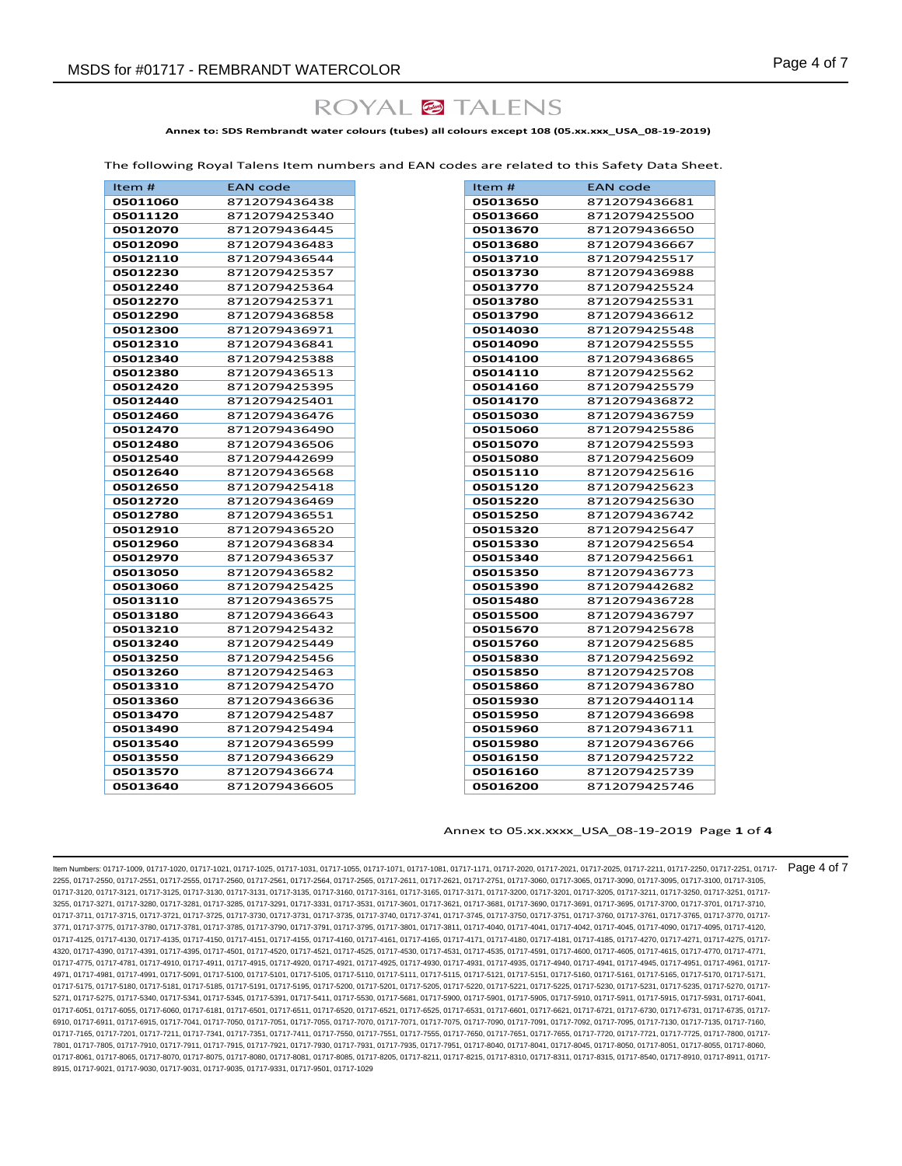## ROYAL<sup>@</sup>TALENS

**Annex to: SDS Rembrandt water colours (tubes) all colours except 108 (05.xx.xxx\_USA\_08-19-2019)**

The following Royal Talens Item numbers and EAN codes are related to this Safety Data Sheet.

| Item $#$ | <b>EAN</b> code |
|----------|-----------------|
| 05011060 | 8712079436438   |
| 05011120 | 8712079425340   |
| 05012070 | 8712079436445   |
| 05012090 | 8712079436483   |
| 05012110 | 8712079436544   |
| 05012230 | 8712079425357   |
| 05012240 | 8712079425364   |
| 05012270 | 8712079425371   |
| 05012290 | 8712079436858   |
| 05012300 | 8712079436971   |
| 05012310 | 8712079436841   |
| 05012340 | 8712079425388   |
| 05012380 | 8712079436513   |
| 05012420 | 8712079425395   |
| 05012440 | 8712079425401   |
| 05012460 | 8712079436476   |
| 05012470 | 8712079436490   |
| 05012480 | 8712079436506   |
| 05012540 | 8712079442699   |
| 05012640 | 8712079436568   |
| 05012650 | 8712079425418   |
| 05012720 | 8712079436469   |
| 05012780 | 8712079436551   |
| 05012910 | 8712079436520   |
| 05012960 | 8712079436834   |
| 05012970 | 8712079436537   |
| 05013050 | 8712079436582   |
| 05013060 | 8712079425425   |
| 05013110 | 8712079436575   |
| 05013180 | 8712079436643   |
| 05013210 | 8712079425432   |
| 05013240 | 8712079425449   |
| 05013250 | 8712079425456   |
| 05013260 | 8712079425463   |
| 05013310 | 8712079425470   |
| 05013360 | 8712079436636   |
| 05013470 | 8712079425487   |
| 05013490 | 8712079425494   |
| 05013540 | 8712079436599   |
| 05013550 | 8712079436629   |
| 05013570 | 8712079436674   |
| 05013640 | 8712079436605   |
|          |                 |

#### Annex to 05.xx.xxxx\_USA\_08-19-2019 Page **1** of **4**

Item Numbers: 01717-1009, 01717-1020, 01717-1021, 01717-1025, 01717-1031, 01717-1055, 01717-1071, 01717-1081, 01717-1171, 01717-2020, 01717-2021, 01717-2025, 01717-2211, 01717-2250, 01717-2251, 01717- 2255, 01717-2550, 01717-2551, 01717-2555, 01717-2560, 01717-2561, 01717-2564, 01717-2565, 01717-2611, 01717-2621, 01717-2751, 01717-3060, 01717-3065, 01717-3090, 01717-3095, 01717-3100, 01717-3105, 01717-3120, 01717-3121, 01717-3125, 01717-3130, 01717-3131, 01717-3135, 01717-3160, 01717-3161, 01717-3165, 01717-3171, 01717-3200, 01717-3200, 01717-3205, 01717-3211, 01717-3250, 01717-3250, 01717-3250, 01717-3250, 01717-3 3255, 01717-3271, 01717-3280, 01717-3281, 01717-3285, 01717-3291, 01717-3331, 01717-3531, 01717-3601, 01717-3621, 01717-3681, 01717-3690, 01717-3691, 01717-3695, 01717-3700, 01717-3701, 01717-3710, 01717-3711, 01717-3715, 01717-3721, 01717-3725, 01717-3730, 01717-3731, 01717-3735, 01717-3740, 01717-3741, 01717-3745, 01717-3750, 01717-3751, 01717-3760, 01717-3760, 01717-3765, 01717-3760, 01717-3760, 01717-3760, 01717-3 3771, 01717-3775, 01717-3780, 01717-3781, 01717-3785, 01717-3790, 01717-3791, 01717-3795, 01717-3801, 01717-3811, 01717-4040, 01717-4041, 01717-4042, 01717-4045, 01717-4090, 01717-4095, 01717-4120, 01717-4125, 01717-4130, 01717-4135, 01717-4150, 01717-4151, 01717-4155, 01717-4160, 01717-4161, 01717-417, 01717-4156, 01717-4181, 01717-4185, 01717-4185, 01717-4270, 01717-4271, 01717-4271, 01717-4185, 01717-4185, 01717-41 4320, 01717-4390, 01717-4391, 01717-4395, 01717-4501, 01717-4520, 01717-4521, 01717-4525, 01717-4530, 01717-4531, 01717-4535, 01717-4591, 01717-4600, 01717-4605, 01717-4615, 01717-4770, 01717-4771, 01717-4775, 01717-4781, 01717-4910, 01717-4911, 01717-4915, 01717-4920, 01717-4921, 01717-4925, 01717-4930, 01717-4931, 01717-4935, 01717-4940, 01717-4941, 01717-4945, 01717-4951, 01717-4961, 01717- 4971, 01717-4981, 01717-4991, 01717-5091, 01717-5100, 01717-5101, 01717-5105, 01717-5110, 01717-5110, 01717-511, 01717-5110, 01717-5121, 01717-5166, 01717-5165, 01717-5170, 01717-5171, 01717-5175, 01717-5180, 01717-5181, 01717-5185, 01717-5191, 01717-5195, 01717-5200, 01717-5201, 01717-5205, 01717-5221, 01717-5221, 01717-5230, 01717-5231, 01717-5235, 01717-5225, 01717-5225, 01717-5225, 01717-5225, 01717-5 5271, 01717-5275, 01717-5340, 01717-5341, 01717-5345, 01717-5391, 01717-5411, 01717-5530, 01717-5681, 01717-5900, 01717-5901, 01717-5905, 01717-5910, 01717-5911, 01717-5915, 01717-5931, 01717-6041, 01717-6051, 01717-6055, 01717-6060, 01717-6181, 01717-6501, 01717-6511, 01717-6520, 01717-6521, 01717-6531, 01717-6531, 01717-6721, 01717-6721, 01717-6730, 01717-6731, 01717-6731, 01717-6731, 01717-6731, 01717-6731, 01717-6 6910, 01717-6911, 01717-6915, 01717-7041, 01717-7050, 01717-7051, 01717-7055, 01717-7070, 01717-7071, 01717-7075, 01717-7090, 01717-7091, 01717-7092, 01717-7092, 01717-7095, 01717-7030, 01717-709, 01717-7090, 01717-7135, 01 01717-7165, 01717-7201, 01717-7211, 01717-7341, 01717-7351, 01717-7411, 01717-7550, 01717-7551, 01717-7555, 01717-7655, 01717-7655, 01717-7655, 01717-7720, 01717-7721, 01717-7721, 01717-7785, 01717-7721, 01717-725, 01717-78 7801, 01717-7805, 01717-7910, 01717-7911, 01717-7915, 01717-7921, 01717-7930, 01717-7931, 01717-7935, 01717-7951, 01717-8040, 01717-8041, 01717-8045, 01717-8050, 01717-8051, 01717-8055, 01717-8060, 01717-8061, 01717-8065, 01717-8070, 01717-8075, 01717-8080, 01717-8081, 01717-8085, 01717-8205, 01717-8211, 01717-8215, 01717-8310, 01717-8311, 01717-8315, 01717-8310, 01717-8310, 01717-8315, 01717-8840, 01717-8910, 01717-8 8915, 01717-9021, 01717-9030, 01717-9031, 01717-9035, 01717-9331, 01717-9501, 01717-1029 Page 4 of 7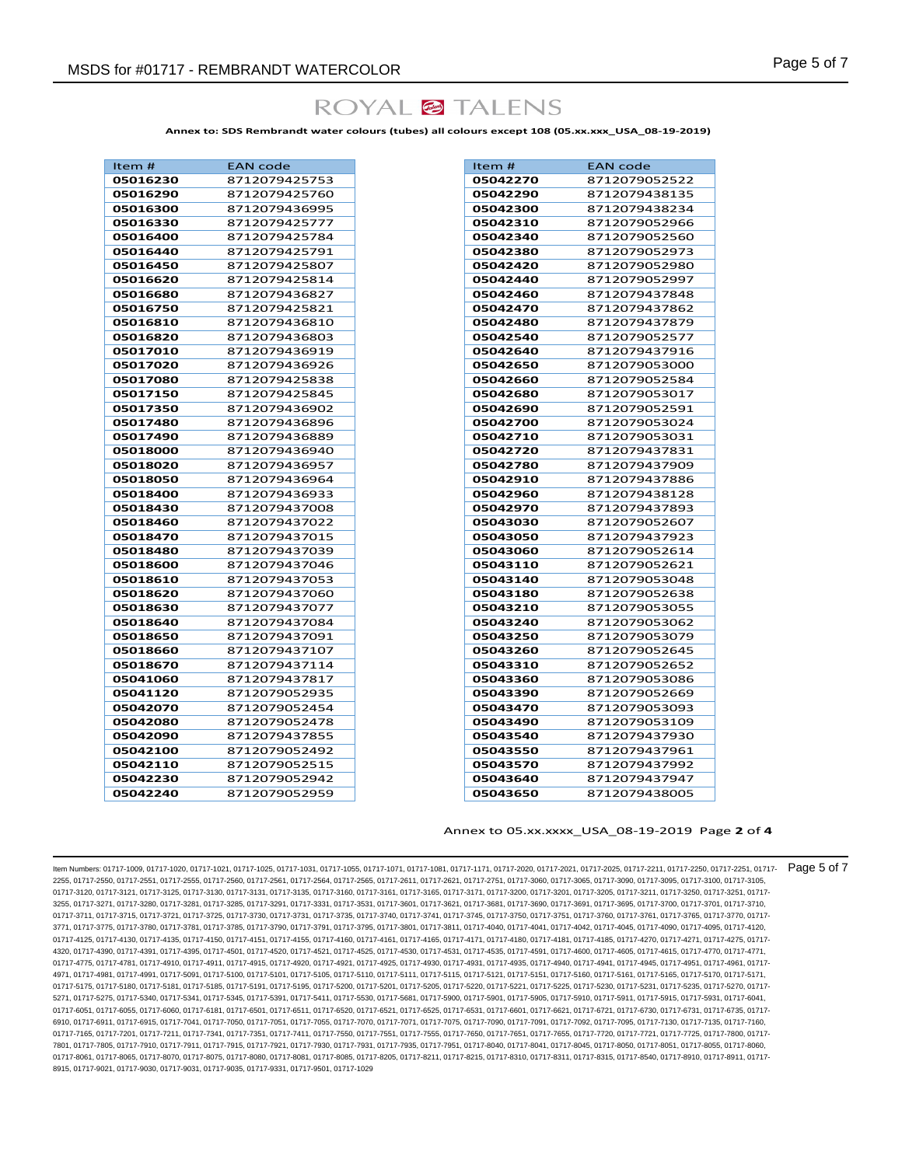# ROYAL<sup>6</sup> TALENS

**Annex to: SDS Rembrandt water colours (tubes) all colours except 108 (05.xx.xxx\_USA\_08-19-2019)**

| Item #   | <b>EAN code</b> |
|----------|-----------------|
| 05016230 | 8712079425753   |
| 05016290 | 8712079425760   |
| 05016300 | 8712079436995   |
| 05016330 | 8712079425777   |
| 05016400 | 8712079425784   |
| 05016440 | 8712079425791   |
| 05016450 | 8712079425807   |
| 05016620 | 8712079425814   |
| 05016680 | 8712079436827   |
| 05016750 | 8712079425821   |
| 05016810 | 8712079436810   |
| 05016820 | 8712079436803   |
| 05017010 | 8712079436919   |
| 05017020 | 8712079436926   |
| 05017080 | 8712079425838   |
| 05017150 | 8712079425845   |
| 05017350 | 8712079436902   |
| 05017480 | 8712079436896   |
| 05017490 | 8712079436889   |
| 05018000 | 8712079436940   |
| 05018020 | 8712079436957   |
| 05018050 | 8712079436964   |
| 05018400 | 8712079436933   |
| 05018430 | 8712079437008   |
| 05018460 | 8712079437022   |
| 05018470 | 8712079437015   |
| 05018480 | 8712079437039   |
| 05018600 | 8712079437046   |
| 05018610 | 8712079437053   |
| 05018620 | 8712079437060   |
| 05018630 | 8712079437077   |
| 05018640 | 8712079437084   |
| 05018650 | 8712079437091   |
| 05018660 | 8712079437107   |
| 05018670 | 8712079437114   |
| 05041060 | 8712079437817   |
| 05041120 | 8712079052935   |
| 05042070 | 8712079052454   |
| 05042080 | 8712079052478   |
| 05042090 | 8712079437855   |
| 05042100 | 8712079052492   |
| 05042110 | 8712079052515   |
| 05042230 | 8712079052942   |
| 05042240 | 8712079052959   |

| Item #   | <b>EAN code</b> |
|----------|-----------------|
| 05042270 | 8712079052522   |
| 05042290 | 8712079438135   |
| 05042300 | 8712079438234   |
| 05042310 | 8712079052966   |
| 05042340 | 8712079052560   |
| 05042380 | 8712079052973   |
| 05042420 | 8712079052980   |
| 05042440 | 8712079052997   |
| 05042460 | 8712079437848   |
| 05042470 | 8712079437862   |
| 05042480 | 8712079437879   |
| 05042540 | 8712079052577   |
| 05042640 | 8712079437916   |
| 05042650 | 8712079053000   |
| 05042660 | 8712079052584   |
| 05042680 | 8712079053017   |
| 05042690 | 8712079052591   |
| 05042700 | 8712079053024   |
| 05042710 | 8712079053031   |
| 05042720 | 8712079437831   |
| 05042780 | 8712079437909   |
| 05042910 | 8712079437886   |
| 05042960 | 8712079438128   |
| 05042970 | 8712079437893   |
| 05043030 | 8712079052607   |
| 05043050 | 8712079437923   |
| 05043060 | 8712079052614   |
| 05043110 | 8712079052621   |
| 05043140 | 8712079053048   |
| 05043180 | 8712079052638   |
| 05043210 | 8712079053055   |
| 05043240 | 8712079053062   |
| 05043250 | 8712079053079   |
| 05043260 | 8712079052645   |
| 05043310 | 8712079052652   |
| 05043360 | 8712079053086   |
| 05043390 | 8712079052669   |
| 05043470 | 8712079053093   |
| 05043490 | 8712079053109   |
| 05043540 | 8712079437930   |
| 05043550 | 8712079437961   |
| 05043570 | 8712079437992   |
| 05043640 | 8712079437947   |
| 05043650 | 8712079438005   |
|          |                 |

#### Annex to 05.xx.xxxx\_USA\_08-19-2019 Page **2** of **4**

Item Numbers: 01717-1009, 01717-1020, 01717-1021, 01717-1025, 01717-1031, 01717-1055, 01717-1071, 01717-1081, 01717-1171, 01717-2020, 01717-2021, 01717-2025, 01717-2211, 01717-2250, 01717-2251, 01717- 2255, 01717-2550, 01717-2551, 01717-2555, 01717-2560, 01717-2561, 01717-2564, 01717-2565, 01717-2611, 01717-2621, 01717-2751, 01717-3060, 01717-3065, 01717-3090, 01717-3095, 01717-3100, 01717-3105, 01717-3120, 01717-3121, 01717-3125, 01717-3130, 01717-3131, 01717-3135, 01717-3160, 01717-3161, 01717-3165, 01717-3171, 01717-3200, 01717-3200, 01717-3205, 01717-3211, 01717-3250, 01717-3250, 01717-3250, 01717-3250, 01717-3 3255, 01717-3271, 01717-3280, 01717-3281, 01717-3285, 01717-3291, 01717-3331, 01717-3531, 01717-3601, 01717-3621, 01717-3681, 01717-3690, 01717-3691, 01717-3695, 01717-3700, 01717-3701, 01717-3710, 01717-3711, 01717-3715, 01717-3721, 01717-3725, 01717-3730, 01717-3731, 01717-3735, 01717-3740, 01717-3741, 01717-3745, 01717-3750, 01717-3751, 01717-3760, 01717-3760, 01717-3765, 01717-3760, 01717-3760, 01717-3760, 01717-3 3771, 01717-3775, 01717-3780, 01717-3781, 01717-3785, 01717-3790, 01717-3791, 01717-3795, 01717-3801, 01717-3811, 01717-4040, 01717-4041, 01717-4042, 01717-4045, 01717-4090, 01717-4095, 01717-4120, 01717-4125, 01717-4130, 01717-4135, 01717-4150, 01717-4151, 01717-4155, 01717-4160, 01717-4161, 01717-417, 01717-4156, 01717-4181, 01717-4185, 01717-4185, 01717-4270, 01717-4271, 01717-4271, 01717-4185, 01717-4185, 01717-41 4320, 01717-4390, 01717-4391, 01717-4395, 01717-4501, 01717-4520, 01717-4521, 01717-4525, 01717-4530, 01717-4531, 01717-4535, 01717-4591, 01717-4600, 01717-4605, 01717-4615, 01717-4770, 01717-4771, 01717-4775, 01717-4781, 01717-4910, 01717-4911, 01717-4915, 01717-4920, 01717-4921, 01717-4925, 01717-4930, 01717-4931, 01717-4935, 01717-4940, 01717-4941, 01717-4945, 01717-4951, 01717-4961, 01717- 4971, 01717-4981, 01717-4991, 01717-5091, 01717-5100, 01717-5101, 01717-5105, 01717-5110, 01717-5110, 01717-511, 01717-5110, 01717-5121, 01717-5166, 01717-5165, 01717-5170, 01717-5171, 01717-5175, 01717-5180, 01717-5181, 01717-5185, 01717-5191, 01717-5195, 01717-5200, 01717-5201, 01717-5205, 01717-5221, 01717-5221, 01717-5230, 01717-5231, 01717-5235, 01717-5225, 01717-5225, 01717-5225, 01717-5225, 01717-5 5271, 01717-5275, 01717-5340, 01717-5341, 01717-5345, 01717-5391, 01717-5411, 01717-5530, 01717-5681, 01717-5900, 01717-5901, 01717-5905, 01717-5910, 01717-5911, 01717-5915, 01717-5931, 01717-6041, 01717-6051, 01717-6055, 01717-6060, 01717-6181, 01717-6511, 01717-6520, 01717-6521, 01717-6525, 01717-6531, 01717-6601, 01717-6621, 01717-6721, 01717-6730, 01717-6731, 01717-6731, 01717-6731, 01717-6731, 01717-6731, 01717-6 6910, 01717-6911, 01717-6915, 01717-7041, 01717-7050, 01717-7051, 01717-7055, 01717-7070, 01717-7071, 01717-7075, 01717-7090, 01717-7091, 01717-7092, 01717-7092, 01717-7095, 01717-7030, 01717-709, 01717-7090, 01717-7135, 01 01717-7165, 01717-7201, 01717-7211, 01717-7341, 01717-7351, 01717-7411, 01717-7550, 01717-7551, 01717-7555, 01717-7650, 01717-7655, 01717-7655, 01717-7720, 01717-7721, 01717-7721, 01717-7725, 01717-7721, 01717-7855, 01717-7 7801, 01717-7805, 01717-7910, 01717-7911, 01717-7915, 01717-7921, 01717-7930, 01717-7931, 01717-7935, 01717-7951, 01717-8040, 01717-8041, 01717-8045, 01717-8050, 01717-8051, 01717-8055, 01717-8060, 01717-8061, 01717-8065, 01717-8070, 01717-8075, 01717-8080, 01717-8081, 01717-8085, 01717-8215, 01717-8215, 01717-8311, 01717-8311, 01717-8315, 01717-8340, 01717-8910, 01717-8910, 01717-8310, 01717-8315, 01717-8910, 01717-8 8915, 01717-9021, 01717-9030, 01717-9031, 01717-9035, 01717-9331, 01717-9501, 01717-1029 Page 5 of 7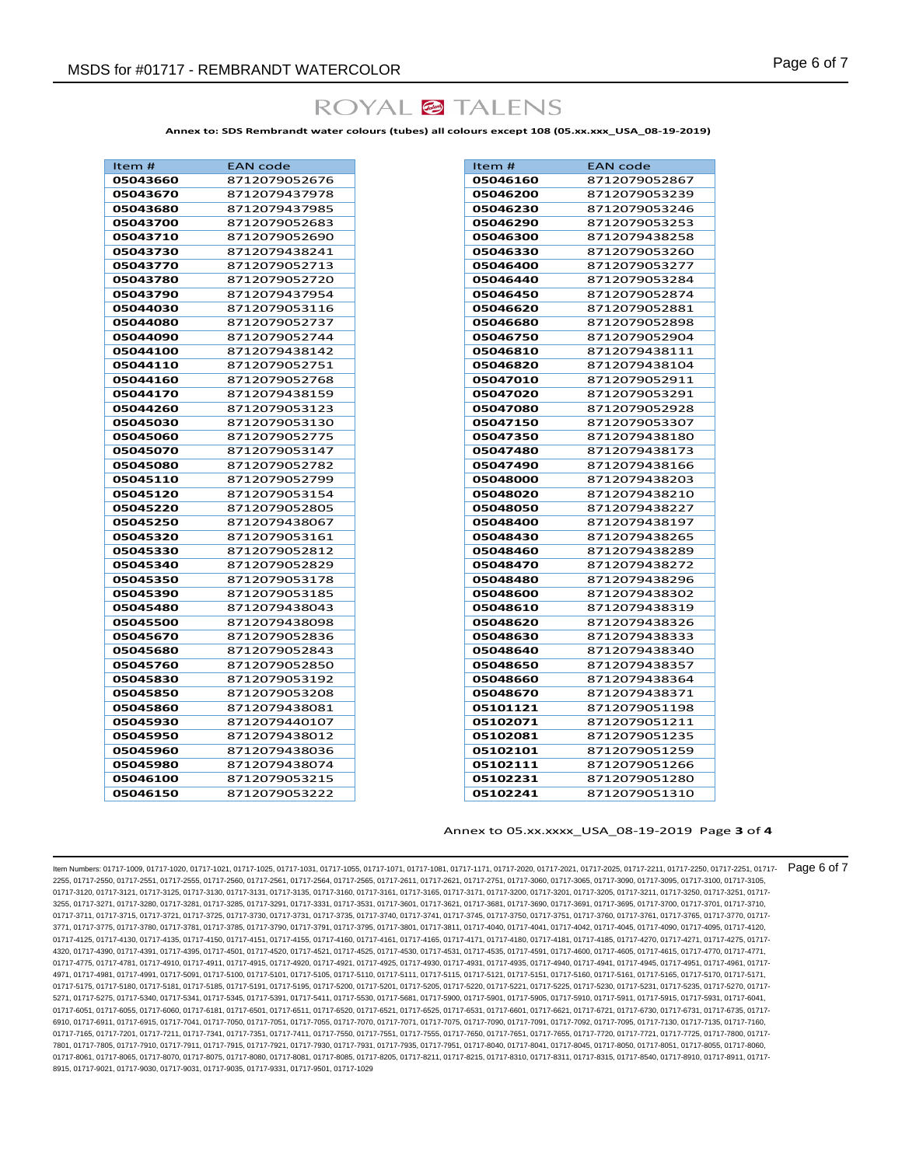

**Annex to: SDS Rembrandt water colours (tubes) all colours except 108 (05.xx.xxx\_USA\_08-19-2019)**

| Item #               | EAN code                       |
|----------------------|--------------------------------|
| 05043660             | 8712079052676                  |
| 05043670             | 8712079437978                  |
| 05043680             | 8712079437985                  |
| 05043700             | 8712079052683                  |
| 05043710             | 8712079052690                  |
| 05043730             | 8712079438241                  |
| 05043770             | 8712079052713                  |
| 05043780             | 8712079052720                  |
| 05043790             | 8712079437954                  |
| 05044030             | 8712079053116                  |
| 05044080             | 8712079052737                  |
| 05044090             | 8712079052744                  |
| 05044100             | 8712079438142                  |
| 05044110             | 8712079052751                  |
| 05044160             | 8712079052768                  |
| 05044170             | 8712079438159                  |
| 05044260             | 8712079053123                  |
| 05045030             | 8712079053130                  |
| 05045060             | 8712079052775                  |
| 05045070             | 8712079053147                  |
| 05045080             | 8712079052782                  |
| 05045110             | 8712079052799                  |
| 05045120             | 8712079053154                  |
| 05045220             | 8712079052805                  |
| 05045250             | 8712079438067                  |
| 05045320             | 8712079053161                  |
| 05045330             | 8712079052812                  |
| 05045340             | 8712079052829                  |
| 05045350             | 8712079053178                  |
| 05045390             | 8712079053185                  |
| 05045480             | 8712079438043                  |
| 05045500             | 8712079438098                  |
| 05045670             | 8712079052836                  |
| 05045680             | 8712079052843                  |
| 05045760<br>05045830 | 8712079052850<br>8712079053192 |
|                      |                                |
| 05045850             | 8712079053208                  |
| 05045860<br>05045930 | 8712079438081<br>8712079440107 |
| 05045950             | 8712079438012                  |
| 05045960             | 8712079438036                  |
| 05045980             | 8712079438074                  |
| 05046100             | 8712079053215                  |
| 05046150             | 8712079053222                  |
|                      |                                |

| Item #   | <b>EAN code</b> |
|----------|-----------------|
| 05046160 | 8712079052867   |
| 05046200 | 8712079053239   |
| 05046230 | 8712079053246   |
| 05046290 | 8712079053253   |
| 05046300 | 8712079438258   |
| 05046330 | 8712079053260   |
| 05046400 | 8712079053277   |
| 05046440 | 8712079053284   |
| 05046450 | 8712079052874   |
| 05046620 | 8712079052881   |
| 05046680 | 8712079052898   |
| 05046750 | 8712079052904   |
| 05046810 | 8712079438111   |
| 05046820 | 8712079438104   |
| 05047010 | 8712079052911   |
| 05047020 | 8712079053291   |
| 05047080 | 8712079052928   |
| 05047150 | 8712079053307   |
| 05047350 | 8712079438180   |
| 05047480 | 8712079438173   |
| 05047490 | 8712079438166   |
| 05048000 | 8712079438203   |
| 05048020 | 8712079438210   |
| 05048050 | 8712079438227   |
| 05048400 | 8712079438197   |
| 05048430 | 8712079438265   |
| 05048460 | 8712079438289   |
| 05048470 | 8712079438272   |
| 05048480 | 8712079438296   |
| 05048600 | 8712079438302   |
| 05048610 | 8712079438319   |
| 05048620 | 8712079438326   |
| 05048630 | 8712079438333   |
| 05048640 | 8712079438340   |
| 05048650 | 8712079438357   |
| 05048660 | 8712079438364   |
| 05048670 | 8712079438371   |
| 05101121 | 8712079051198   |
| 05102071 | 8712079051211   |
| 05102081 | 8712079051235   |
| 05102101 | 8712079051259   |
| 05102111 | 8712079051266   |
| 05102231 | 8712079051280   |
| 05102241 | 8712079051310   |
|          |                 |

#### Annex to 05.xx.xxxx\_USA\_08-19-2019 Page **3** of **4**

Item Numbers: 01717-1009, 01717-1020, 01717-1021, 01717-1025, 01717-1031, 01717-1055, 01717-1071, 01717-1081, 01717-1171, 01717-2020, 01717-2021, 01717-2025, 01717-2211, 01717-2250, 01717-2251, 01717- 2255, 01717-2550, 01717-2551, 01717-2555, 01717-2560, 01717-2561, 01717-2564, 01717-2565, 01717-2611, 01717-2621, 01717-2751, 01717-3060, 01717-3065, 01717-3090, 01717-3095, 01717-3100, 01717-3105, 01717-3120, 01717-3121, 01717-3125, 01717-3130, 01717-3131, 01717-3135, 01717-3160, 01717-3161, 01717-3165, 01717-3171, 01717-3200, 01717-3200, 01717-3205, 01717-3211, 01717-3250, 01717-3250, 01717-3250, 01717-3250, 01717-3 3255, 01717-3271, 01717-3280, 01717-3281, 01717-3285, 01717-3291, 01717-3331, 01717-3531, 01717-3601, 01717-3621, 01717-3681, 01717-3690, 01717-3691, 01717-3695, 01717-3700, 01717-3701, 01717-3710, 01717-3711, 01717-3715, 01717-3721, 01717-3725, 01717-3730, 01717-3731, 01717-3735, 01717-3740, 01717-3741, 01717-3745, 01717-3750, 01717-3751, 01717-3760, 01717-3760, 01717-3765, 01717-3760, 01717-3760, 01717-3760, 01717-3 3771, 01717-3775, 01717-3780, 01717-3781, 01717-3785, 01717-3790, 01717-3791, 01717-3795, 01717-3801, 01717-3811, 01717-4040, 01717-4041, 01717-4042, 01717-4045, 01717-4090, 01717-4095, 01717-4120, 01717-4125, 01717-4130, 01717-4135, 01717-4150, 01717-4151, 01717-4155, 01717-4160, 01717-4161, 01717-4165, 01717-4171, 01717-4180, 01717-4181, 01717-4185, 01717-4185, 01717-4185, 01717-4185, 01717-4185, 01717-4185, 01717-4 4320, 01717-4390, 01717-4391, 01717-4395, 01717-4501, 01717-4520, 01717-4521, 01717-4525, 01717-4530, 01717-4531, 01717-4535, 01717-4591, 01717-4600, 01717-4605, 01717-4615, 01717-4770, 01717-4771, 01717-4775, 01717-4781, 01717-4910, 01717-4911, 01717-4915, 01717-4920, 01717-4921, 01717-4925, 01717-4930, 01717-4931, 01717-4935, 01717-4940, 01717-4941, 01717-4945, 01717-4951, 01717-4961, 01717- 4971, 01717-4981, 01717-4991, 01717-5091, 01717-5100, 01717-5101, 01717-5105, 01717-5110, 01717-5110, 01717-511, 01717-5110, 01717-5121, 01717-5166, 01717-5165, 01717-5170, 01717-5171, 01717-5175, 01717-5180, 01717-5181, 01717-5185, 01717-5191, 01717-5195, 01717-5200, 01717-5201, 01717-5205, 01717-5221, 01717-5221, 01717-5230, 01717-5231, 01717-5235, 01717-5225, 01717-5225, 01717-5225, 01717-5225, 01717-5 5271, 01717-5275, 01717-5340, 01717-5341, 01717-5345, 01717-5391, 01717-5411, 01717-5530, 01717-5681, 01717-5900, 01717-5901, 01717-5905, 01717-5910, 01717-5911, 01717-5915, 01717-5931, 01717-6041, 01717-6051, 01717-6055, 01717-6060, 01717-6181, 01717-6511, 01717-6520, 01717-6521, 01717-6525, 01717-6531, 01717-6601, 01717-6621, 01717-6721, 01717-6730, 01717-6731, 01717-6731, 01717-6731, 01717-6731, 01717-6731, 01717-6 6910, 01717-6911, 01717-6915, 01717-7041, 01717-7050, 01717-7051, 01717-7055, 01717-7070, 01717-7071, 01717-7075, 01717-7090, 01717-7091, 01717-7092, 01717-7092, 01717-7095, 01717-7030, 01717-709, 01717-7090, 01717-7135, 01 01717-7165, 01717-7201, 01717-7211, 01717-7341, 01717-7351, 01717-7411, 01717-7550, 01717-7551, 01717-7555, 01717-7650, 01717-7655, 01717-7655, 01717-7720, 01717-7721, 01717-7721, 01717-7725, 01717-7721, 01717-7855, 01717-7 7801, 01717-7805, 01717-7910, 01717-7911, 01717-7915, 01717-7921, 01717-7930, 01717-7931, 01717-7935, 01717-7951, 01717-8040, 01717-8041, 01717-8045, 01717-8050, 01717-8051, 01717-8055, 01717-8060, 01717-8061, 01717-8065, 01717-8070, 01717-8075, 01717-8080, 01717-8081, 01717-8085, 01717-8215, 01717-8215, 01717-8311, 01717-8311, 01717-8315, 01717-8340, 01717-8910, 01717-8910, 01717-8310, 01717-8315, 01717-8910, 01717-8 8915, 01717-9021, 01717-9030, 01717-9031, 01717-9035, 01717-9331, 01717-9501, 01717-1029 Page 6 of 7